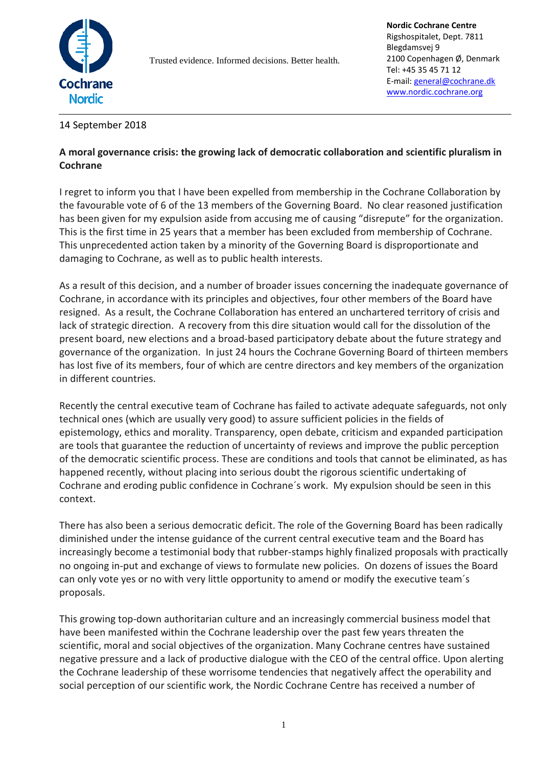

Trusted evidence. Informed decisions. Better health.

## 14 September 2018

## **A moral governance crisis: the growing lack of democratic collaboration and scientific pluralism in Cochrane**

I regret to inform you that I have been expelled from membership in the Cochrane Collaboration by the favourable vote of 6 of the 13 members of the Governing Board. No clear reasoned justification has been given for my expulsion aside from accusing me of causing "disrepute" for the organization. This is the first time in 25 years that a member has been excluded from membership of Cochrane. This unprecedented action taken by a minority of the Governing Board is disproportionate and damaging to Cochrane, as well as to public health interests.

As a result of this decision, and a number of broader issues concerning the inadequate governance of Cochrane, in accordance with its principles and objectives, four other members of the Board have resigned. As a result, the Cochrane Collaboration has entered an unchartered territory of crisis and lack of strategic direction. A recovery from this dire situation would call for the dissolution of the present board, new elections and a broad-based participatory debate about the future strategy and governance of the organization. In just 24 hours the Cochrane Governing Board of thirteen members has lost five of its members, four of which are centre directors and key members of the organization in different countries.

Recently the central executive team of Cochrane has failed to activate adequate safeguards, not only technical ones (which are usually very good) to assure sufficient policies in the fields of epistemology, ethics and morality. Transparency, open debate, criticism and expanded participation are tools that guarantee the reduction of uncertainty of reviews and improve the public perception of the democratic scientific process. These are conditions and tools that cannot be eliminated, as has happened recently, without placing into serious doubt the rigorous scientific undertaking of Cochrane and eroding public confidence in Cochrane´s work. My expulsion should be seen in this context.

There has also been a serious democratic deficit. The role of the Governing Board has been radically diminished under the intense guidance of the current central executive team and the Board has increasingly become a testimonial body that rubber-stamps highly finalized proposals with practically no ongoing in-put and exchange of views to formulate new policies. On dozens of issues the Board can only vote yes or no with very little opportunity to amend or modify the executive team´s proposals.

This growing top-down authoritarian culture and an increasingly commercial business model that have been manifested within the Cochrane leadership over the past few years threaten the scientific, moral and social objectives of the organization. Many Cochrane centres have sustained negative pressure and a lack of productive dialogue with the CEO of the central office. Upon alerting the Cochrane leadership of these worrisome tendencies that negatively affect the operability and social perception of our scientific work, the Nordic Cochrane Centre has received a number of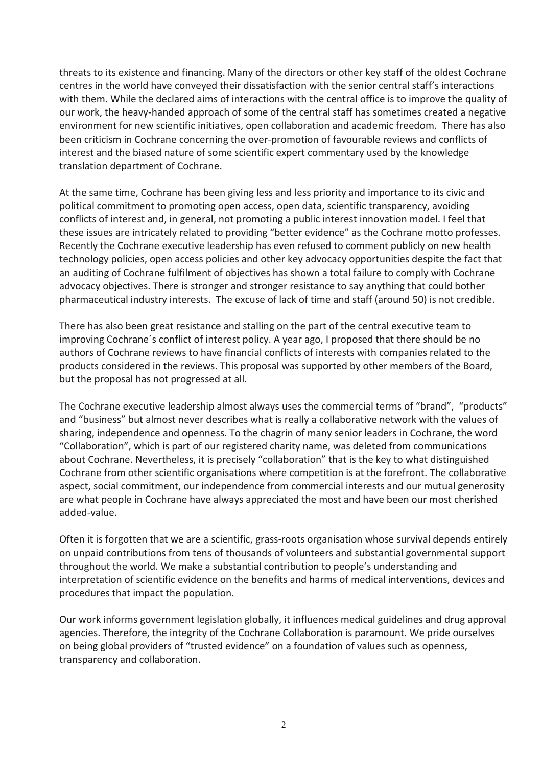threats to its existence and financing. Many of the directors or other key staff of the oldest Cochrane centres in the world have conveyed their dissatisfaction with the senior central staff's interactions with them. While the declared aims of interactions with the central office is to improve the quality of our work, the heavy-handed approach of some of the central staff has sometimes created a negative environment for new scientific initiatives, open collaboration and academic freedom. There has also been criticism in Cochrane concerning the over-promotion of favourable reviews and conflicts of interest and the biased nature of some scientific expert commentary used by the knowledge translation department of Cochrane.

At the same time, Cochrane has been giving less and less priority and importance to its civic and political commitment to promoting open access, open data, scientific transparency, avoiding conflicts of interest and, in general, not promoting a public interest innovation model. I feel that these issues are intricately related to providing "better evidence" as the Cochrane motto professes. Recently the Cochrane executive leadership has even refused to comment publicly on new health technology policies, open access policies and other key advocacy opportunities despite the fact that an auditing of Cochrane fulfilment of objectives has shown a total failure to comply with Cochrane advocacy objectives. There is stronger and stronger resistance to say anything that could bother pharmaceutical industry interests. The excuse of lack of time and staff (around 50) is not credible.

There has also been great resistance and stalling on the part of the central executive team to improving Cochrane´s conflict of interest policy. A year ago, I proposed that there should be no authors of Cochrane reviews to have financial conflicts of interests with companies related to the products considered in the reviews. This proposal was supported by other members of the Board, but the proposal has not progressed at all.

The Cochrane executive leadership almost always uses the commercial terms of "brand", "products" and "business" but almost never describes what is really a collaborative network with the values of sharing, independence and openness. To the chagrin of many senior leaders in Cochrane, the word "Collaboration", which is part of our registered charity name, was deleted from communications about Cochrane. Nevertheless, it is precisely "collaboration" that is the key to what distinguished Cochrane from other scientific organisations where competition is at the forefront. The collaborative aspect, social commitment, our independence from commercial interests and our mutual generosity are what people in Cochrane have always appreciated the most and have been our most cherished added-value.

Often it is forgotten that we are a scientific, grass-roots organisation whose survival depends entirely on unpaid contributions from tens of thousands of volunteers and substantial governmental support throughout the world. We make a substantial contribution to people's understanding and interpretation of scientific evidence on the benefits and harms of medical interventions, devices and procedures that impact the population.

Our work informs government legislation globally, it influences medical guidelines and drug approval agencies. Therefore, the integrity of the Cochrane Collaboration is paramount. We pride ourselves on being global providers of "trusted evidence" on a foundation of values such as openness, transparency and collaboration.